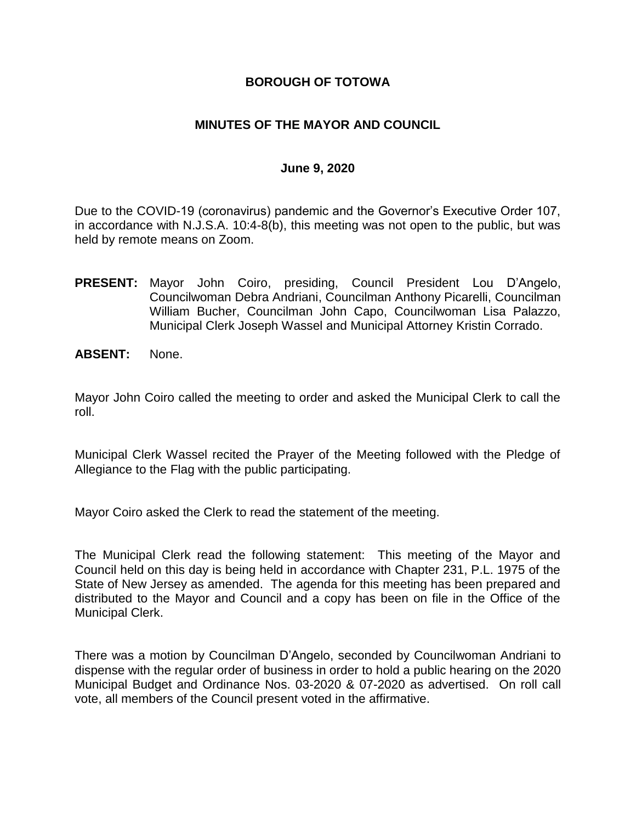## **BOROUGH OF TOTOWA**

## **MINUTES OF THE MAYOR AND COUNCIL**

#### **June 9, 2020**

Due to the COVID-19 (coronavirus) pandemic and the Governor's Executive Order 107, in accordance with N.J.S.A. 10:4-8(b), this meeting was not open to the public, but was held by remote means on Zoom.

- **PRESENT:** Mayor John Coiro, presiding, Council President Lou D'Angelo, Councilwoman Debra Andriani, Councilman Anthony Picarelli, Councilman William Bucher, Councilman John Capo, Councilwoman Lisa Palazzo, Municipal Clerk Joseph Wassel and Municipal Attorney Kristin Corrado.
- **ABSENT:** None.

Mayor John Coiro called the meeting to order and asked the Municipal Clerk to call the roll.

Municipal Clerk Wassel recited the Prayer of the Meeting followed with the Pledge of Allegiance to the Flag with the public participating.

Mayor Coiro asked the Clerk to read the statement of the meeting.

The Municipal Clerk read the following statement: This meeting of the Mayor and Council held on this day is being held in accordance with Chapter 231, P.L. 1975 of the State of New Jersey as amended. The agenda for this meeting has been prepared and distributed to the Mayor and Council and a copy has been on file in the Office of the Municipal Clerk.

There was a motion by Councilman D'Angelo, seconded by Councilwoman Andriani to dispense with the regular order of business in order to hold a public hearing on the 2020 Municipal Budget and Ordinance Nos. 03-2020 & 07-2020 as advertised. On roll call vote, all members of the Council present voted in the affirmative.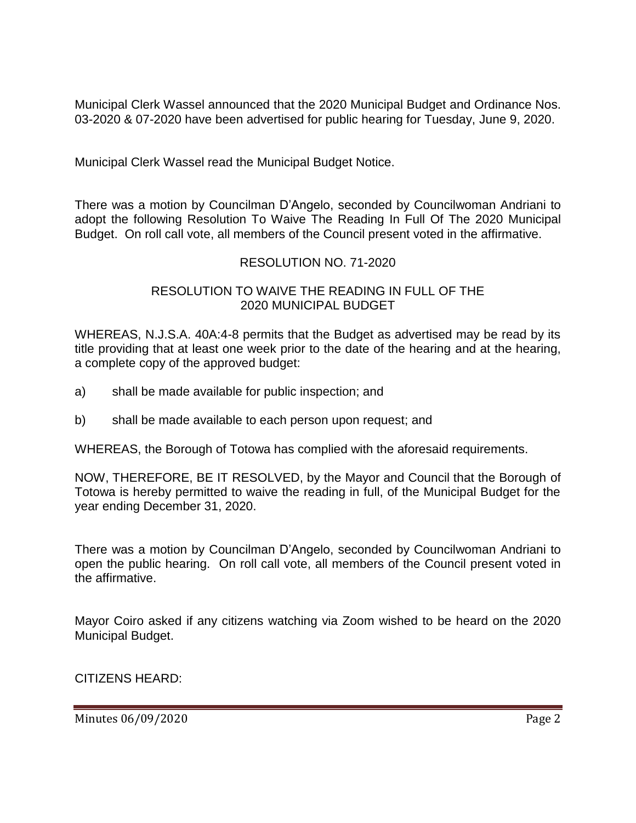Municipal Clerk Wassel announced that the 2020 Municipal Budget and Ordinance Nos. 03-2020 & 07-2020 have been advertised for public hearing for Tuesday, June 9, 2020.

Municipal Clerk Wassel read the Municipal Budget Notice.

There was a motion by Councilman D'Angelo, seconded by Councilwoman Andriani to adopt the following Resolution To Waive The Reading In Full Of The 2020 Municipal Budget. On roll call vote, all members of the Council present voted in the affirmative.

## RESOLUTION NO. 71-2020

## RESOLUTION TO WAIVE THE READING IN FULL OF THE 2020 MUNICIPAL BUDGET

WHEREAS, N.J.S.A. 40A:4-8 permits that the Budget as advertised may be read by its title providing that at least one week prior to the date of the hearing and at the hearing, a complete copy of the approved budget:

- a) shall be made available for public inspection; and
- b) shall be made available to each person upon request; and

WHEREAS, the Borough of Totowa has complied with the aforesaid requirements.

NOW, THEREFORE, BE IT RESOLVED, by the Mayor and Council that the Borough of Totowa is hereby permitted to waive the reading in full, of the Municipal Budget for the year ending December 31, 2020.

There was a motion by Councilman D'Angelo, seconded by Councilwoman Andriani to open the public hearing. On roll call vote, all members of the Council present voted in the affirmative.

Mayor Coiro asked if any citizens watching via Zoom wished to be heard on the 2020 Municipal Budget.

CITIZENS HEARD:

Minutes 06/09/2020 **Page 2**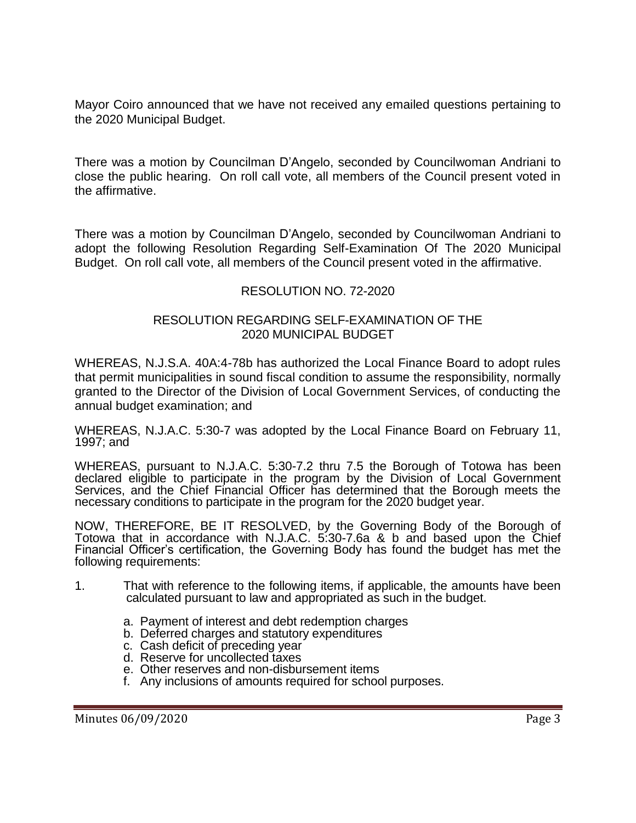Mayor Coiro announced that we have not received any emailed questions pertaining to the 2020 Municipal Budget.

There was a motion by Councilman D'Angelo, seconded by Councilwoman Andriani to close the public hearing. On roll call vote, all members of the Council present voted in the affirmative.

There was a motion by Councilman D'Angelo, seconded by Councilwoman Andriani to adopt the following Resolution Regarding Self-Examination Of The 2020 Municipal Budget. On roll call vote, all members of the Council present voted in the affirmative.

## RESOLUTION NO. 72-2020

#### RESOLUTION REGARDING SELF-EXAMINATION OF THE 2020 MUNICIPAL BUDGET

WHEREAS, N.J.S.A. 40A:4-78b has authorized the Local Finance Board to adopt rules that permit municipalities in sound fiscal condition to assume the responsibility, normally granted to the Director of the Division of Local Government Services, of conducting the annual budget examination; and

WHEREAS, N.J.A.C. 5:30-7 was adopted by the Local Finance Board on February 11, 1997; and

WHEREAS, pursuant to N.J.A.C. 5:30-7.2 thru 7.5 the Borough of Totowa has been declared eligible to participate in the program by the Division of Local Government Services, and the Chief Financial Officer has determined that the Borough meets the necessary conditions to participate in the program for the 2020 budget year.

NOW, THEREFORE, BE IT RESOLVED, by the Governing Body of the Borough of Totowa that in accordance with N.J.A.C. 5:30-7.6a & b and based upon the Chief Financial Officer's certification, the Governing Body has found the budget has met the following requirements:

- 1. That with reference to the following items, if applicable, the amounts have been calculated pursuant to law and appropriated as such in the budget.
	- a. Payment of interest and debt redemption charges
	- b. Deferred charges and statutory expenditures
	- c. Cash deficit of preceding year
	- d. Reserve for uncollected taxes
	- e. Other reserves and non-disbursement items
	- f. Any inclusions of amounts required for school purposes.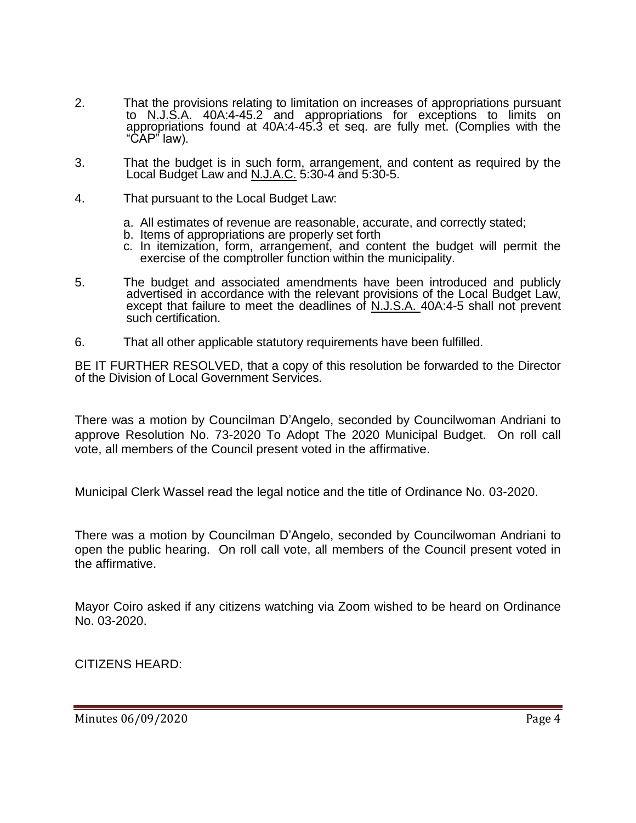- 2. That the provisions relating to limitation on increases of appropriations pursuant to N.J.S.A. 40A:4-45.2 and appropriations for exceptions to limits on appropriations found at 40A:4-45.3 et seq. are fully met. (Complies with the "CAP" law).
- 3. That the budget is in such form, arrangement, and content as required by the Local Budget Law and N.J.A.C. 5:30-4 and 5:30-5.
- 4. That pursuant to the Local Budget Law:
	- a. All estimates of revenue are reasonable, accurate, and correctly stated;
	- b. Items of appropriations are properly set forth
	- c. In itemization, form, arrangement, and content the budget will permit the exercise of the comptroller function within the municipality.
- 5. The budget and associated amendments have been introduced and publicly advertised in accordance with the relevant provisions of the Local Budget Law, except that failure to meet the deadlines of N.J.S.A. 40A:4-5 shall not prevent such certification.
- 6. That all other applicable statutory requirements have been fulfilled.

BE IT FURTHER RESOLVED, that a copy of this resolution be forwarded to the Director of the Division of Local Government Services.

There was a motion by Councilman D'Angelo, seconded by Councilwoman Andriani to approve Resolution No. 73-2020 To Adopt The 2020 Municipal Budget. On roll call vote, all members of the Council present voted in the affirmative.

Municipal Clerk Wassel read the legal notice and the title of Ordinance No. 03-2020.

There was a motion by Councilman D'Angelo, seconded by Councilwoman Andriani to open the public hearing. On roll call vote, all members of the Council present voted in the affirmative.

Mayor Coiro asked if any citizens watching via Zoom wished to be heard on Ordinance No. 03-2020.

CITIZENS HEARD: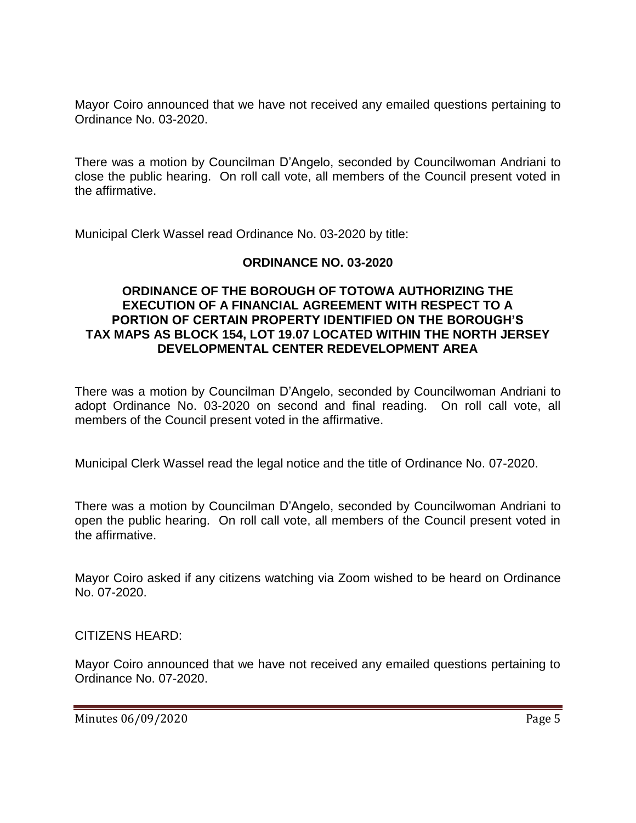Mayor Coiro announced that we have not received any emailed questions pertaining to Ordinance No. 03-2020.

There was a motion by Councilman D'Angelo, seconded by Councilwoman Andriani to close the public hearing. On roll call vote, all members of the Council present voted in the affirmative.

Municipal Clerk Wassel read Ordinance No. 03-2020 by title:

### **ORDINANCE NO. 03-2020**

### **ORDINANCE OF THE BOROUGH OF TOTOWA AUTHORIZING THE EXECUTION OF A FINANCIAL AGREEMENT WITH RESPECT TO A PORTION OF CERTAIN PROPERTY IDENTIFIED ON THE BOROUGH'S TAX MAPS AS BLOCK 154, LOT 19.07 LOCATED WITHIN THE NORTH JERSEY DEVELOPMENTAL CENTER REDEVELOPMENT AREA**

There was a motion by Councilman D'Angelo, seconded by Councilwoman Andriani to adopt Ordinance No. 03-2020 on second and final reading. On roll call vote, all members of the Council present voted in the affirmative.

Municipal Clerk Wassel read the legal notice and the title of Ordinance No. 07-2020.

There was a motion by Councilman D'Angelo, seconded by Councilwoman Andriani to open the public hearing. On roll call vote, all members of the Council present voted in the affirmative.

Mayor Coiro asked if any citizens watching via Zoom wished to be heard on Ordinance No. 07-2020.

### CITIZENS HEARD:

Mayor Coiro announced that we have not received any emailed questions pertaining to Ordinance No. 07-2020.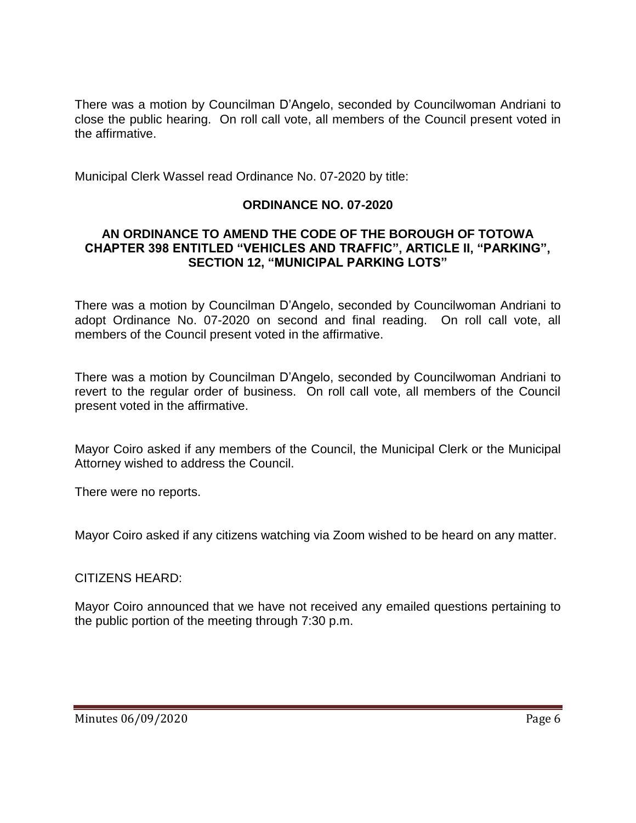There was a motion by Councilman D'Angelo, seconded by Councilwoman Andriani to close the public hearing. On roll call vote, all members of the Council present voted in the affirmative.

Municipal Clerk Wassel read Ordinance No. 07-2020 by title:

## **ORDINANCE NO. 07-2020**

### **AN ORDINANCE TO AMEND THE CODE OF THE BOROUGH OF TOTOWA CHAPTER 398 ENTITLED "VEHICLES AND TRAFFIC", ARTICLE II, "PARKING", SECTION 12, "MUNICIPAL PARKING LOTS"**

There was a motion by Councilman D'Angelo, seconded by Councilwoman Andriani to adopt Ordinance No. 07-2020 on second and final reading. On roll call vote, all members of the Council present voted in the affirmative.

There was a motion by Councilman D'Angelo, seconded by Councilwoman Andriani to revert to the regular order of business. On roll call vote, all members of the Council present voted in the affirmative.

Mayor Coiro asked if any members of the Council, the Municipal Clerk or the Municipal Attorney wished to address the Council.

There were no reports.

Mayor Coiro asked if any citizens watching via Zoom wished to be heard on any matter.

### CITIZENS HEARD:

Mayor Coiro announced that we have not received any emailed questions pertaining to the public portion of the meeting through 7:30 p.m.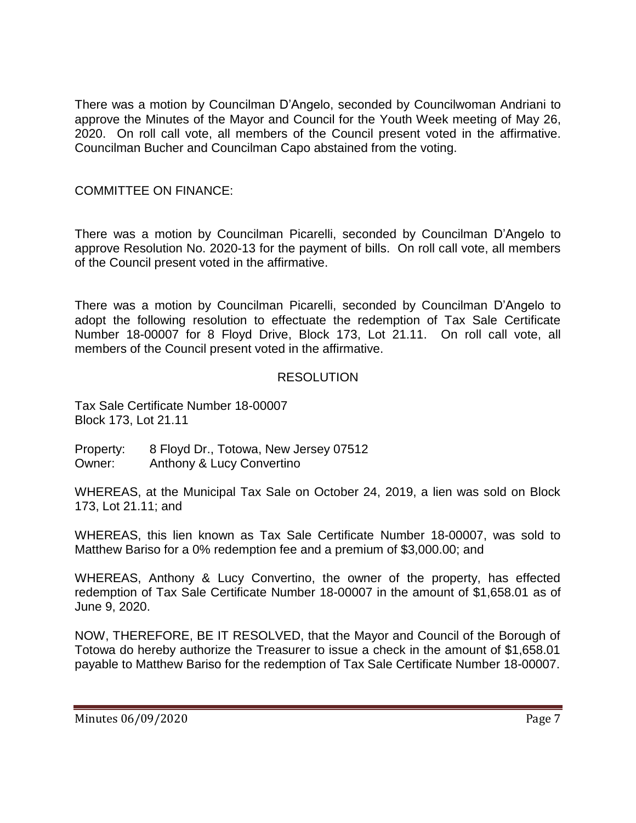There was a motion by Councilman D'Angelo, seconded by Councilwoman Andriani to approve the Minutes of the Mayor and Council for the Youth Week meeting of May 26, 2020. On roll call vote, all members of the Council present voted in the affirmative. Councilman Bucher and Councilman Capo abstained from the voting.

## COMMITTEE ON FINANCE:

There was a motion by Councilman Picarelli, seconded by Councilman D'Angelo to approve Resolution No. 2020-13 for the payment of bills. On roll call vote, all members of the Council present voted in the affirmative.

There was a motion by Councilman Picarelli, seconded by Councilman D'Angelo to adopt the following resolution to effectuate the redemption of Tax Sale Certificate Number 18-00007 for 8 Floyd Drive, Block 173, Lot 21.11. On roll call vote, all members of the Council present voted in the affirmative.

## RESOLUTION

Tax Sale Certificate Number 18-00007 Block 173, Lot 21.11

Property: 8 Floyd Dr., Totowa, New Jersey 07512 Owner: Anthony & Lucy Convertino

WHEREAS, at the Municipal Tax Sale on October 24, 2019, a lien was sold on Block 173, Lot 21.11; and

WHEREAS, this lien known as Tax Sale Certificate Number 18-00007, was sold to Matthew Bariso for a 0% redemption fee and a premium of \$3,000.00; and

WHEREAS, Anthony & Lucy Convertino, the owner of the property, has effected redemption of Tax Sale Certificate Number 18-00007 in the amount of \$1,658.01 as of June 9, 2020.

NOW, THEREFORE, BE IT RESOLVED, that the Mayor and Council of the Borough of Totowa do hereby authorize the Treasurer to issue a check in the amount of \$1,658.01 payable to Matthew Bariso for the redemption of Tax Sale Certificate Number 18-00007.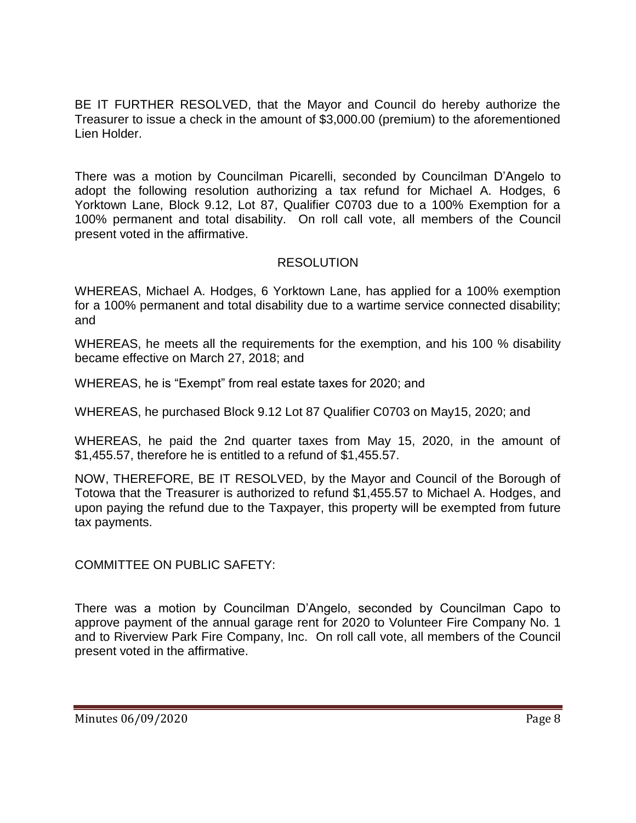BE IT FURTHER RESOLVED, that the Mayor and Council do hereby authorize the Treasurer to issue a check in the amount of \$3,000.00 (premium) to the aforementioned Lien Holder.

There was a motion by Councilman Picarelli, seconded by Councilman D'Angelo to adopt the following resolution authorizing a tax refund for Michael A. Hodges, 6 Yorktown Lane, Block 9.12, Lot 87, Qualifier C0703 due to a 100% Exemption for a 100% permanent and total disability. On roll call vote, all members of the Council present voted in the affirmative.

## RESOLUTION

WHEREAS, Michael A. Hodges, 6 Yorktown Lane, has applied for a 100% exemption for a 100% permanent and total disability due to a wartime service connected disability; and

WHEREAS, he meets all the requirements for the exemption, and his 100 % disability became effective on March 27, 2018; and

WHEREAS, he is "Exempt" from real estate taxes for 2020; and

WHEREAS, he purchased Block 9.12 Lot 87 Qualifier C0703 on May15, 2020; and

WHEREAS, he paid the 2nd quarter taxes from May 15, 2020, in the amount of \$1,455.57, therefore he is entitled to a refund of \$1,455.57.

NOW, THEREFORE, BE IT RESOLVED, by the Mayor and Council of the Borough of Totowa that the Treasurer is authorized to refund \$1,455.57 to Michael A. Hodges, and upon paying the refund due to the Taxpayer, this property will be exempted from future tax payments.

COMMITTEE ON PUBLIC SAFETY:

There was a motion by Councilman D'Angelo, seconded by Councilman Capo to approve payment of the annual garage rent for 2020 to Volunteer Fire Company No. 1 and to Riverview Park Fire Company, Inc. On roll call vote, all members of the Council present voted in the affirmative.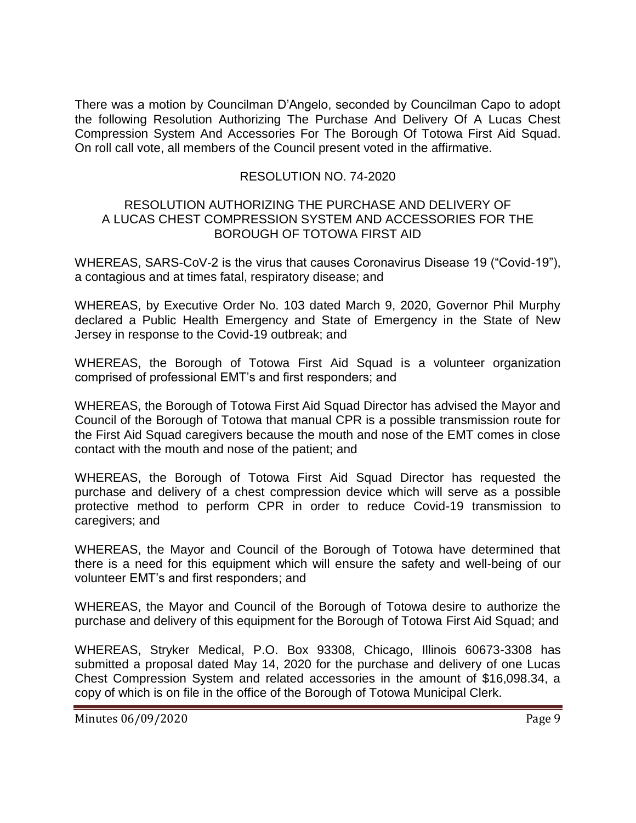There was a motion by Councilman D'Angelo, seconded by Councilman Capo to adopt the following Resolution Authorizing The Purchase And Delivery Of A Lucas Chest Compression System And Accessories For The Borough Of Totowa First Aid Squad. On roll call vote, all members of the Council present voted in the affirmative.

## RESOLUTION NO. 74-2020

#### RESOLUTION AUTHORIZING THE PURCHASE AND DELIVERY OF A LUCAS CHEST COMPRESSION SYSTEM AND ACCESSORIES FOR THE BOROUGH OF TOTOWA FIRST AID

WHEREAS, SARS-CoV-2 is the virus that causes Coronavirus Disease 19 ("Covid-19"), a contagious and at times fatal, respiratory disease; and

WHEREAS, by Executive Order No. 103 dated March 9, 2020, Governor Phil Murphy declared a Public Health Emergency and State of Emergency in the State of New Jersey in response to the Covid-19 outbreak; and

WHEREAS, the Borough of Totowa First Aid Squad is a volunteer organization comprised of professional EMT's and first responders; and

WHEREAS, the Borough of Totowa First Aid Squad Director has advised the Mayor and Council of the Borough of Totowa that manual CPR is a possible transmission route for the First Aid Squad caregivers because the mouth and nose of the EMT comes in close contact with the mouth and nose of the patient; and

WHEREAS, the Borough of Totowa First Aid Squad Director has requested the purchase and delivery of a chest compression device which will serve as a possible protective method to perform CPR in order to reduce Covid-19 transmission to caregivers; and

WHEREAS, the Mayor and Council of the Borough of Totowa have determined that there is a need for this equipment which will ensure the safety and well-being of our volunteer EMT's and first responders; and

WHEREAS, the Mayor and Council of the Borough of Totowa desire to authorize the purchase and delivery of this equipment for the Borough of Totowa First Aid Squad; and

WHEREAS, Stryker Medical, P.O. Box 93308, Chicago, Illinois 60673-3308 has submitted a proposal dated May 14, 2020 for the purchase and delivery of one Lucas Chest Compression System and related accessories in the amount of \$16,098.34, a copy of which is on file in the office of the Borough of Totowa Municipal Clerk.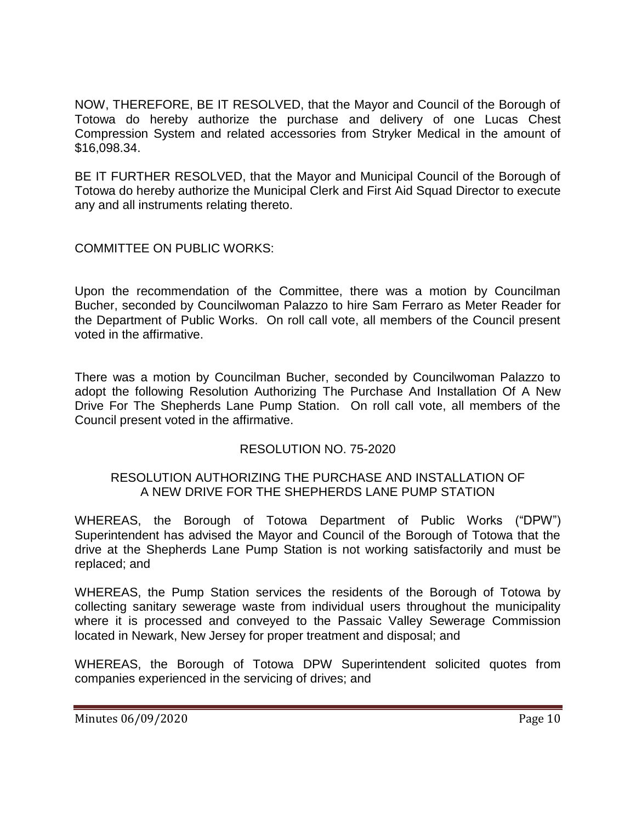NOW, THEREFORE, BE IT RESOLVED, that the Mayor and Council of the Borough of Totowa do hereby authorize the purchase and delivery of one Lucas Chest Compression System and related accessories from Stryker Medical in the amount of \$16,098.34.

BE IT FURTHER RESOLVED, that the Mayor and Municipal Council of the Borough of Totowa do hereby authorize the Municipal Clerk and First Aid Squad Director to execute any and all instruments relating thereto.

COMMITTEE ON PUBLIC WORKS:

Upon the recommendation of the Committee, there was a motion by Councilman Bucher, seconded by Councilwoman Palazzo to hire Sam Ferraro as Meter Reader for the Department of Public Works. On roll call vote, all members of the Council present voted in the affirmative.

There was a motion by Councilman Bucher, seconded by Councilwoman Palazzo to adopt the following Resolution Authorizing The Purchase And Installation Of A New Drive For The Shepherds Lane Pump Station. On roll call vote, all members of the Council present voted in the affirmative.

## RESOLUTION NO. 75-2020

## RESOLUTION AUTHORIZING THE PURCHASE AND INSTALLATION OF A NEW DRIVE FOR THE SHEPHERDS LANE PUMP STATION

WHEREAS, the Borough of Totowa Department of Public Works ("DPW") Superintendent has advised the Mayor and Council of the Borough of Totowa that the drive at the Shepherds Lane Pump Station is not working satisfactorily and must be replaced; and

WHEREAS, the Pump Station services the residents of the Borough of Totowa by collecting sanitary sewerage waste from individual users throughout the municipality where it is processed and conveyed to the Passaic Valley Sewerage Commission located in Newark, New Jersey for proper treatment and disposal; and

WHEREAS, the Borough of Totowa DPW Superintendent solicited quotes from companies experienced in the servicing of drives; and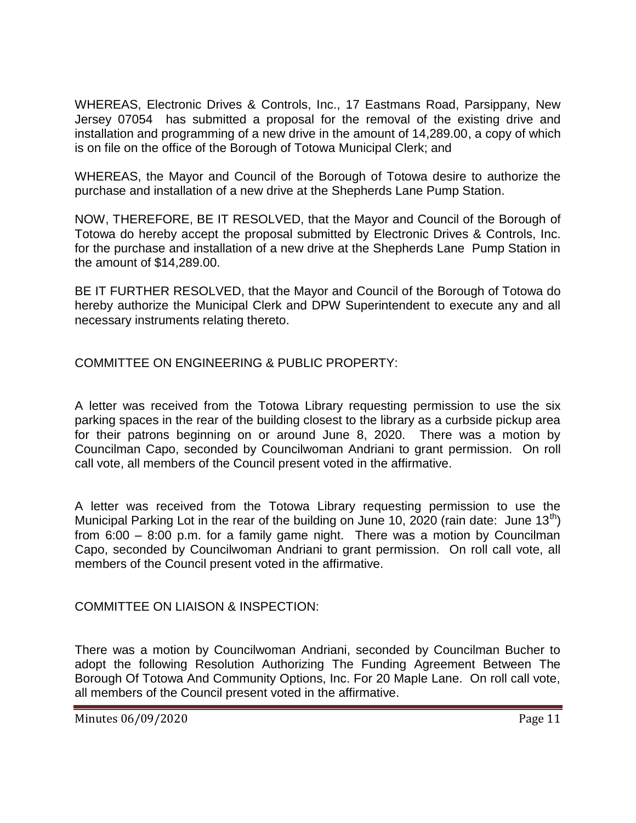WHEREAS, Electronic Drives & Controls, Inc., 17 Eastmans Road, Parsippany, New Jersey 07054 has submitted a proposal for the removal of the existing drive and installation and programming of a new drive in the amount of 14,289.00, a copy of which is on file on the office of the Borough of Totowa Municipal Clerk; and

WHEREAS, the Mayor and Council of the Borough of Totowa desire to authorize the purchase and installation of a new drive at the Shepherds Lane Pump Station.

NOW, THEREFORE, BE IT RESOLVED, that the Mayor and Council of the Borough of Totowa do hereby accept the proposal submitted by Electronic Drives & Controls, Inc. for the purchase and installation of a new drive at the Shepherds Lane Pump Station in the amount of \$14,289.00.

BE IT FURTHER RESOLVED, that the Mayor and Council of the Borough of Totowa do hereby authorize the Municipal Clerk and DPW Superintendent to execute any and all necessary instruments relating thereto.

COMMITTEE ON ENGINEERING & PUBLIC PROPERTY:

A letter was received from the Totowa Library requesting permission to use the six parking spaces in the rear of the building closest to the library as a curbside pickup area for their patrons beginning on or around June 8, 2020. There was a motion by Councilman Capo, seconded by Councilwoman Andriani to grant permission. On roll call vote, all members of the Council present voted in the affirmative.

A letter was received from the Totowa Library requesting permission to use the Municipal Parking Lot in the rear of the building on June 10, 2020 (rain date: June  $13<sup>th</sup>$ ) from 6:00 – 8:00 p.m. for a family game night. There was a motion by Councilman Capo, seconded by Councilwoman Andriani to grant permission. On roll call vote, all members of the Council present voted in the affirmative.

COMMITTEE ON LIAISON & INSPECTION:

There was a motion by Councilwoman Andriani, seconded by Councilman Bucher to adopt the following Resolution Authorizing The Funding Agreement Between The Borough Of Totowa And Community Options, Inc. For 20 Maple Lane. On roll call vote, all members of the Council present voted in the affirmative.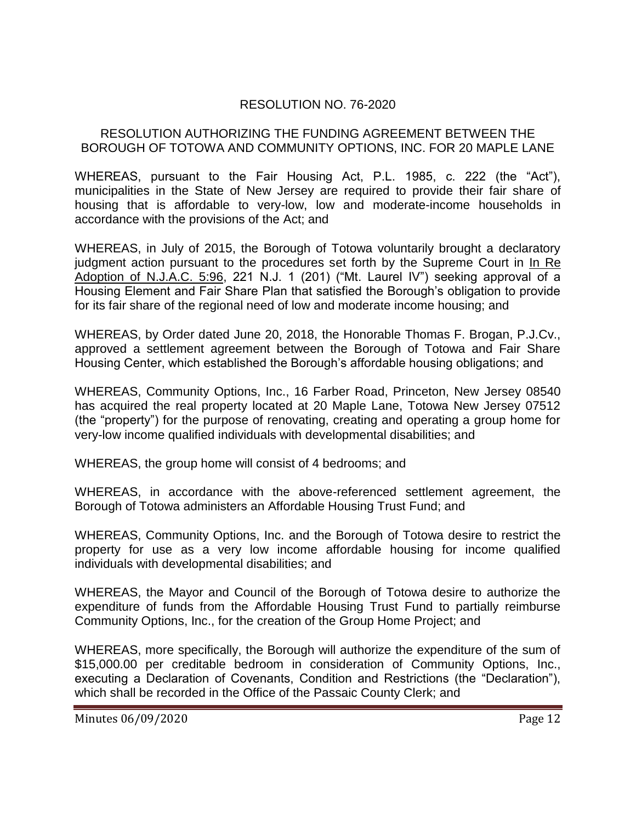## RESOLUTION NO. 76-2020

## RESOLUTION AUTHORIZING THE FUNDING AGREEMENT BETWEEN THE BOROUGH OF TOTOWA AND COMMUNITY OPTIONS, INC. FOR 20 MAPLE LANE

WHEREAS, pursuant to the Fair Housing Act, P.L. 1985, c. 222 (the "Act"), municipalities in the State of New Jersey are required to provide their fair share of housing that is affordable to very-low, low and moderate-income households in accordance with the provisions of the Act; and

WHEREAS, in July of 2015, the Borough of Totowa voluntarily brought a declaratory judgment action pursuant to the procedures set forth by the Supreme Court in In Re Adoption of N.J.A.C. 5:96, 221 N.J. 1 (201) ("Mt. Laurel IV") seeking approval of a Housing Element and Fair Share Plan that satisfied the Borough's obligation to provide for its fair share of the regional need of low and moderate income housing; and

WHEREAS, by Order dated June 20, 2018, the Honorable Thomas F. Brogan, P.J.Cv., approved a settlement agreement between the Borough of Totowa and Fair Share Housing Center, which established the Borough's affordable housing obligations; and

WHEREAS, Community Options, Inc., 16 Farber Road, Princeton, New Jersey 08540 has acquired the real property located at 20 Maple Lane, Totowa New Jersey 07512 (the "property") for the purpose of renovating, creating and operating a group home for very-low income qualified individuals with developmental disabilities; and

WHEREAS, the group home will consist of 4 bedrooms; and

WHEREAS, in accordance with the above-referenced settlement agreement, the Borough of Totowa administers an Affordable Housing Trust Fund; and

WHEREAS, Community Options, Inc. and the Borough of Totowa desire to restrict the property for use as a very low income affordable housing for income qualified individuals with developmental disabilities; and

WHEREAS, the Mayor and Council of the Borough of Totowa desire to authorize the expenditure of funds from the Affordable Housing Trust Fund to partially reimburse Community Options, Inc., for the creation of the Group Home Project; and

WHEREAS, more specifically, the Borough will authorize the expenditure of the sum of \$15,000.00 per creditable bedroom in consideration of Community Options, Inc., executing a Declaration of Covenants, Condition and Restrictions (the "Declaration"), which shall be recorded in the Office of the Passaic County Clerk; and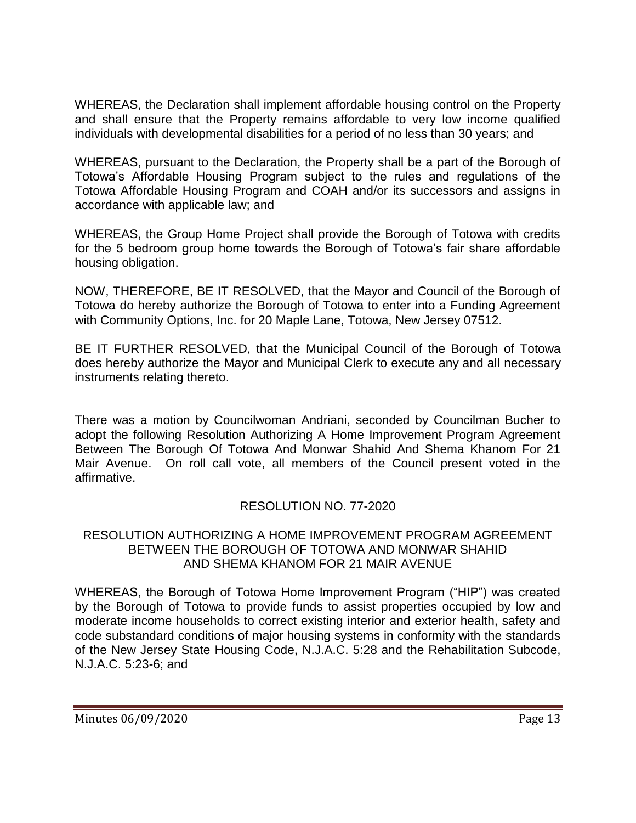WHEREAS, the Declaration shall implement affordable housing control on the Property and shall ensure that the Property remains affordable to very low income qualified individuals with developmental disabilities for a period of no less than 30 years; and

WHEREAS, pursuant to the Declaration, the Property shall be a part of the Borough of Totowa's Affordable Housing Program subject to the rules and regulations of the Totowa Affordable Housing Program and COAH and/or its successors and assigns in accordance with applicable law; and

WHEREAS, the Group Home Project shall provide the Borough of Totowa with credits for the 5 bedroom group home towards the Borough of Totowa's fair share affordable housing obligation.

NOW, THEREFORE, BE IT RESOLVED, that the Mayor and Council of the Borough of Totowa do hereby authorize the Borough of Totowa to enter into a Funding Agreement with Community Options, Inc. for 20 Maple Lane, Totowa, New Jersey 07512.

BE IT FURTHER RESOLVED, that the Municipal Council of the Borough of Totowa does hereby authorize the Mayor and Municipal Clerk to execute any and all necessary instruments relating thereto.

There was a motion by Councilwoman Andriani, seconded by Councilman Bucher to adopt the following Resolution Authorizing A Home Improvement Program Agreement Between The Borough Of Totowa And Monwar Shahid And Shema Khanom For 21 Mair Avenue. On roll call vote, all members of the Council present voted in the affirmative.

## RESOLUTION NO. 77-2020

### RESOLUTION AUTHORIZING A HOME IMPROVEMENT PROGRAM AGREEMENT BETWEEN THE BOROUGH OF TOTOWA AND MONWAR SHAHID AND SHEMA KHANOM FOR 21 MAIR AVENUE

WHEREAS, the Borough of Totowa Home Improvement Program ("HIP") was created by the Borough of Totowa to provide funds to assist properties occupied by low and moderate income households to correct existing interior and exterior health, safety and code substandard conditions of major housing systems in conformity with the standards of the New Jersey State Housing Code, N.J.A.C. 5:28 and the Rehabilitation Subcode, N.J.A.C. 5:23-6; and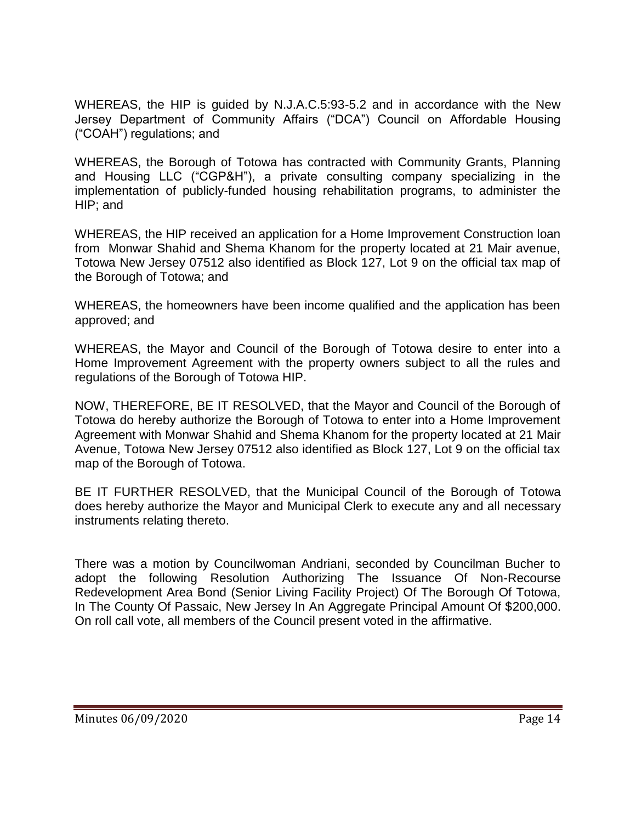WHEREAS, the HIP is guided by N.J.A.C.5:93-5.2 and in accordance with the New Jersey Department of Community Affairs ("DCA") Council on Affordable Housing ("COAH") regulations; and

WHEREAS, the Borough of Totowa has contracted with Community Grants, Planning and Housing LLC ("CGP&H"), a private consulting company specializing in the implementation of publicly-funded housing rehabilitation programs, to administer the HIP; and

WHEREAS, the HIP received an application for a Home Improvement Construction loan from Monwar Shahid and Shema Khanom for the property located at 21 Mair avenue, Totowa New Jersey 07512 also identified as Block 127, Lot 9 on the official tax map of the Borough of Totowa; and

WHEREAS, the homeowners have been income qualified and the application has been approved; and

WHEREAS, the Mayor and Council of the Borough of Totowa desire to enter into a Home Improvement Agreement with the property owners subject to all the rules and regulations of the Borough of Totowa HIP.

NOW, THEREFORE, BE IT RESOLVED, that the Mayor and Council of the Borough of Totowa do hereby authorize the Borough of Totowa to enter into a Home Improvement Agreement with Monwar Shahid and Shema Khanom for the property located at 21 Mair Avenue, Totowa New Jersey 07512 also identified as Block 127, Lot 9 on the official tax map of the Borough of Totowa.

BE IT FURTHER RESOLVED, that the Municipal Council of the Borough of Totowa does hereby authorize the Mayor and Municipal Clerk to execute any and all necessary instruments relating thereto.

There was a motion by Councilwoman Andriani, seconded by Councilman Bucher to adopt the following Resolution Authorizing The Issuance Of Non-Recourse Redevelopment Area Bond (Senior Living Facility Project) Of The Borough Of Totowa, In The County Of Passaic, New Jersey In An Aggregate Principal Amount Of \$200,000. On roll call vote, all members of the Council present voted in the affirmative.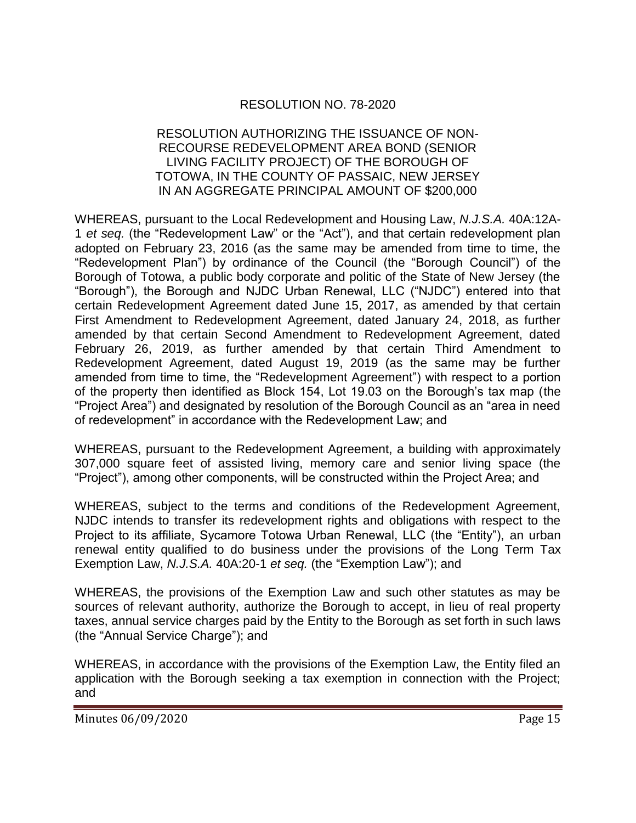## RESOLUTION NO. 78-2020

#### RESOLUTION AUTHORIZING THE ISSUANCE OF NON-RECOURSE REDEVELOPMENT AREA BOND (SENIOR LIVING FACILITY PROJECT) OF THE BOROUGH OF TOTOWA, IN THE COUNTY OF PASSAIC, NEW JERSEY IN AN AGGREGATE PRINCIPAL AMOUNT OF \$200,000

WHEREAS, pursuant to the Local Redevelopment and Housing Law, *N.J.S.A.* 40A:12A-1 *et seq.* (the "Redevelopment Law" or the "Act"), and that certain redevelopment plan adopted on February 23, 2016 (as the same may be amended from time to time, the "Redevelopment Plan") by ordinance of the Council (the "Borough Council") of the Borough of Totowa, a public body corporate and politic of the State of New Jersey (the "Borough"), the Borough and NJDC Urban Renewal, LLC ("NJDC") entered into that certain Redevelopment Agreement dated June 15, 2017, as amended by that certain First Amendment to Redevelopment Agreement, dated January 24, 2018, as further amended by that certain Second Amendment to Redevelopment Agreement, dated February 26, 2019, as further amended by that certain Third Amendment to Redevelopment Agreement, dated August 19, 2019 (as the same may be further amended from time to time, the "Redevelopment Agreement") with respect to a portion of the property then identified as Block 154, Lot 19.03 on the Borough's tax map (the "Project Area") and designated by resolution of the Borough Council as an "area in need of redevelopment" in accordance with the Redevelopment Law; and

WHEREAS, pursuant to the Redevelopment Agreement, a building with approximately 307,000 square feet of assisted living, memory care and senior living space (the "Project"), among other components, will be constructed within the Project Area; and

WHEREAS, subject to the terms and conditions of the Redevelopment Agreement, NJDC intends to transfer its redevelopment rights and obligations with respect to the Project to its affiliate, Sycamore Totowa Urban Renewal, LLC (the "Entity"), an urban renewal entity qualified to do business under the provisions of the Long Term Tax Exemption Law, *N.J.S.A.* 40A:20-1 *et seq.* (the "Exemption Law"); and

WHEREAS, the provisions of the Exemption Law and such other statutes as may be sources of relevant authority, authorize the Borough to accept, in lieu of real property taxes, annual service charges paid by the Entity to the Borough as set forth in such laws (the "Annual Service Charge"); and

WHEREAS, in accordance with the provisions of the Exemption Law, the Entity filed an application with the Borough seeking a tax exemption in connection with the Project; and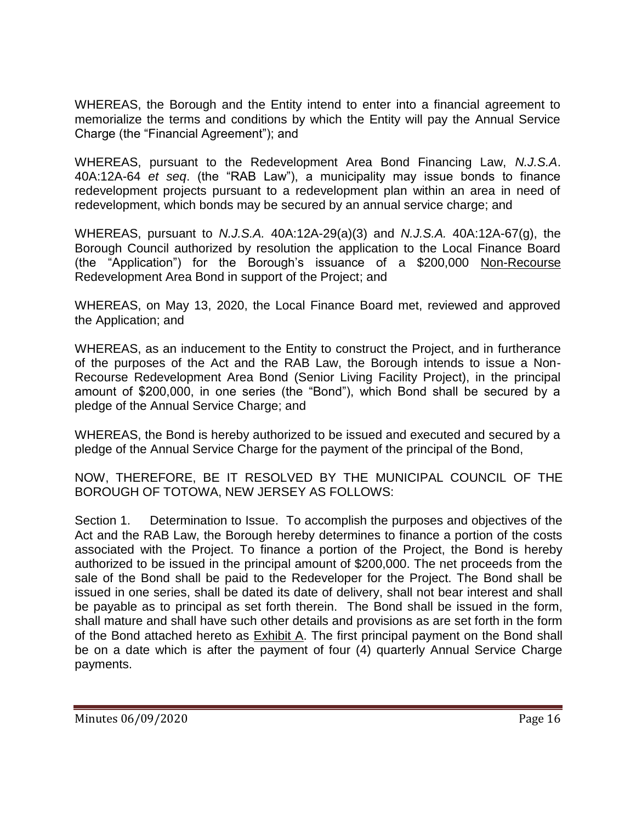WHEREAS, the Borough and the Entity intend to enter into a financial agreement to memorialize the terms and conditions by which the Entity will pay the Annual Service Charge (the "Financial Agreement"); and

WHEREAS, pursuant to the Redevelopment Area Bond Financing Law, *N.J.S.A*. 40A:12A-64 *et seq*. (the "RAB Law"), a municipality may issue bonds to finance redevelopment projects pursuant to a redevelopment plan within an area in need of redevelopment, which bonds may be secured by an annual service charge; and

WHEREAS, pursuant to *N.J.S.A.* 40A:12A-29(a)(3) and *N.J.S.A.* 40A:12A-67(g), the Borough Council authorized by resolution the application to the Local Finance Board (the "Application") for the Borough's issuance of a \$200,000 Non-Recourse Redevelopment Area Bond in support of the Project; and

WHEREAS, on May 13, 2020, the Local Finance Board met, reviewed and approved the Application; and

WHEREAS, as an inducement to the Entity to construct the Project, and in furtherance of the purposes of the Act and the RAB Law, the Borough intends to issue a Non-Recourse Redevelopment Area Bond (Senior Living Facility Project), in the principal amount of \$200,000, in one series (the "Bond"), which Bond shall be secured by a pledge of the Annual Service Charge; and

WHEREAS, the Bond is hereby authorized to be issued and executed and secured by a pledge of the Annual Service Charge for the payment of the principal of the Bond,

NOW, THEREFORE, BE IT RESOLVED BY THE MUNICIPAL COUNCIL OF THE BOROUGH OF TOTOWA, NEW JERSEY AS FOLLOWS:

Section 1. Determination to Issue. To accomplish the purposes and objectives of the Act and the RAB Law, the Borough hereby determines to finance a portion of the costs associated with the Project. To finance a portion of the Project, the Bond is hereby authorized to be issued in the principal amount of \$200,000. The net proceeds from the sale of the Bond shall be paid to the Redeveloper for the Project. The Bond shall be issued in one series, shall be dated its date of delivery, shall not bear interest and shall be payable as to principal as set forth therein. The Bond shall be issued in the form, shall mature and shall have such other details and provisions as are set forth in the form of the Bond attached hereto as Exhibit A. The first principal payment on the Bond shall be on a date which is after the payment of four (4) quarterly Annual Service Charge payments.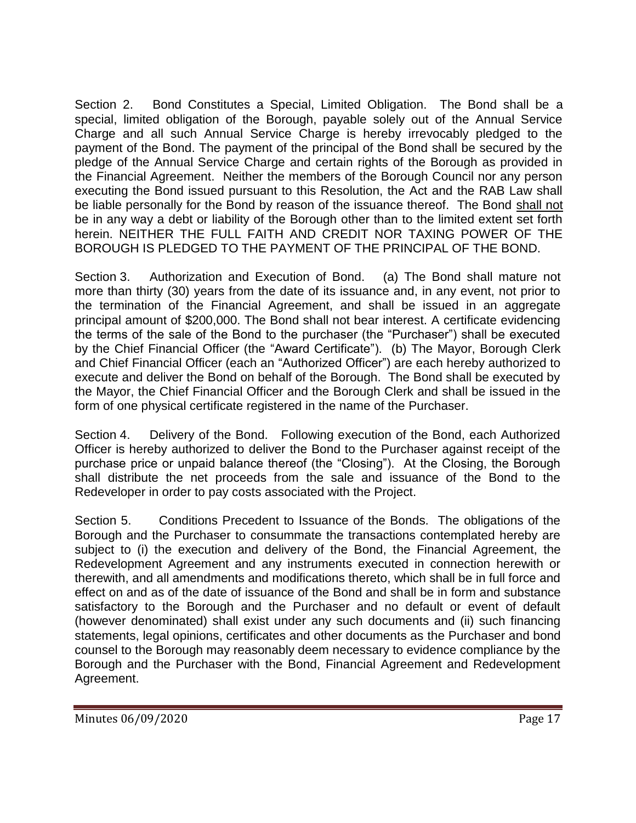Section 2. Bond Constitutes a Special, Limited Obligation. The Bond shall be a special, limited obligation of the Borough, payable solely out of the Annual Service Charge and all such Annual Service Charge is hereby irrevocably pledged to the payment of the Bond. The payment of the principal of the Bond shall be secured by the pledge of the Annual Service Charge and certain rights of the Borough as provided in the Financial Agreement. Neither the members of the Borough Council nor any person executing the Bond issued pursuant to this Resolution, the Act and the RAB Law shall be liable personally for the Bond by reason of the issuance thereof. The Bond shall not be in any way a debt or liability of the Borough other than to the limited extent set forth herein. NEITHER THE FULL FAITH AND CREDIT NOR TAXING POWER OF THE BOROUGH IS PLEDGED TO THE PAYMENT OF THE PRINCIPAL OF THE BOND.

Section 3. Authorization and Execution of Bond. (a) The Bond shall mature not more than thirty (30) years from the date of its issuance and, in any event, not prior to the termination of the Financial Agreement, and shall be issued in an aggregate principal amount of \$200,000. The Bond shall not bear interest. A certificate evidencing the terms of the sale of the Bond to the purchaser (the "Purchaser") shall be executed by the Chief Financial Officer (the "Award Certificate"). (b) The Mayor, Borough Clerk and Chief Financial Officer (each an "Authorized Officer") are each hereby authorized to execute and deliver the Bond on behalf of the Borough. The Bond shall be executed by the Mayor, the Chief Financial Officer and the Borough Clerk and shall be issued in the form of one physical certificate registered in the name of the Purchaser.

Section 4. Delivery of the Bond. Following execution of the Bond, each Authorized Officer is hereby authorized to deliver the Bond to the Purchaser against receipt of the purchase price or unpaid balance thereof (the "Closing"). At the Closing, the Borough shall distribute the net proceeds from the sale and issuance of the Bond to the Redeveloper in order to pay costs associated with the Project.

Section 5. Conditions Precedent to Issuance of the Bonds. The obligations of the Borough and the Purchaser to consummate the transactions contemplated hereby are subject to (i) the execution and delivery of the Bond, the Financial Agreement, the Redevelopment Agreement and any instruments executed in connection herewith or therewith, and all amendments and modifications thereto, which shall be in full force and effect on and as of the date of issuance of the Bond and shall be in form and substance satisfactory to the Borough and the Purchaser and no default or event of default (however denominated) shall exist under any such documents and (ii) such financing statements, legal opinions, certificates and other documents as the Purchaser and bond counsel to the Borough may reasonably deem necessary to evidence compliance by the Borough and the Purchaser with the Bond, Financial Agreement and Redevelopment Agreement.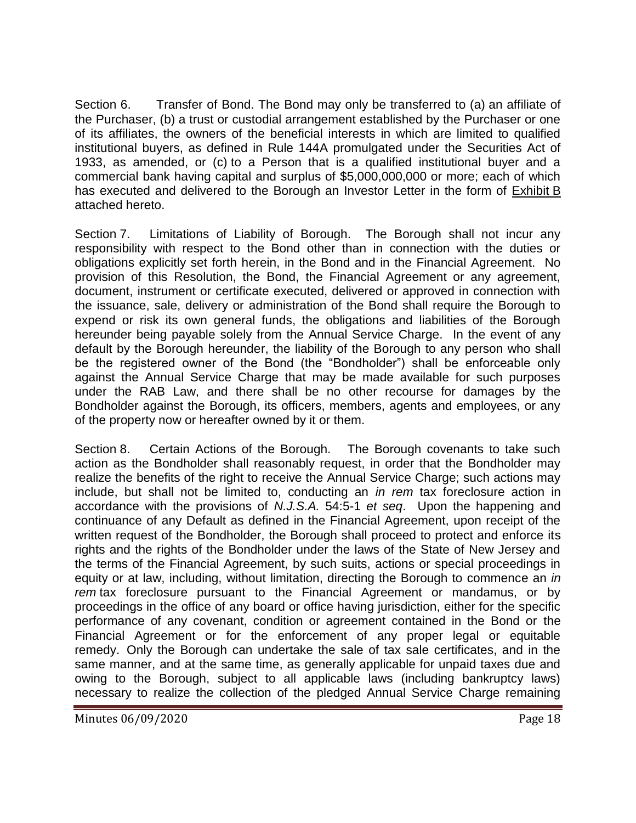Section 6. Transfer of Bond. The Bond may only be transferred to (a) an affiliate of the Purchaser, (b) a trust or custodial arrangement established by the Purchaser or one of its affiliates, the owners of the beneficial interests in which are limited to qualified institutional buyers, as defined in Rule 144A promulgated under the Securities Act of 1933, as amended, or (c) to a Person that is a qualified institutional buyer and a commercial bank having capital and surplus of \$5,000,000,000 or more; each of which has executed and delivered to the Borough an Investor Letter in the form of Exhibit B attached hereto.

Section 7. Limitations of Liability of Borough. The Borough shall not incur any responsibility with respect to the Bond other than in connection with the duties or obligations explicitly set forth herein, in the Bond and in the Financial Agreement. No provision of this Resolution, the Bond, the Financial Agreement or any agreement, document, instrument or certificate executed, delivered or approved in connection with the issuance, sale, delivery or administration of the Bond shall require the Borough to expend or risk its own general funds, the obligations and liabilities of the Borough hereunder being payable solely from the Annual Service Charge. In the event of any default by the Borough hereunder, the liability of the Borough to any person who shall be the registered owner of the Bond (the "Bondholder") shall be enforceable only against the Annual Service Charge that may be made available for such purposes under the RAB Law, and there shall be no other recourse for damages by the Bondholder against the Borough, its officers, members, agents and employees, or any of the property now or hereafter owned by it or them.

Section 8. Certain Actions of the Borough. The Borough covenants to take such action as the Bondholder shall reasonably request, in order that the Bondholder may realize the benefits of the right to receive the Annual Service Charge; such actions may include, but shall not be limited to, conducting an *in rem* tax foreclosure action in accordance with the provisions of *N.J.S.A.* 54:5-1 *et seq*. Upon the happening and continuance of any Default as defined in the Financial Agreement, upon receipt of the written request of the Bondholder, the Borough shall proceed to protect and enforce its rights and the rights of the Bondholder under the laws of the State of New Jersey and the terms of the Financial Agreement, by such suits, actions or special proceedings in equity or at law, including, without limitation, directing the Borough to commence an *in rem* tax foreclosure pursuant to the Financial Agreement or mandamus, or by proceedings in the office of any board or office having jurisdiction, either for the specific performance of any covenant, condition or agreement contained in the Bond or the Financial Agreement or for the enforcement of any proper legal or equitable remedy. Only the Borough can undertake the sale of tax sale certificates, and in the same manner, and at the same time, as generally applicable for unpaid taxes due and owing to the Borough, subject to all applicable laws (including bankruptcy laws) necessary to realize the collection of the pledged Annual Service Charge remaining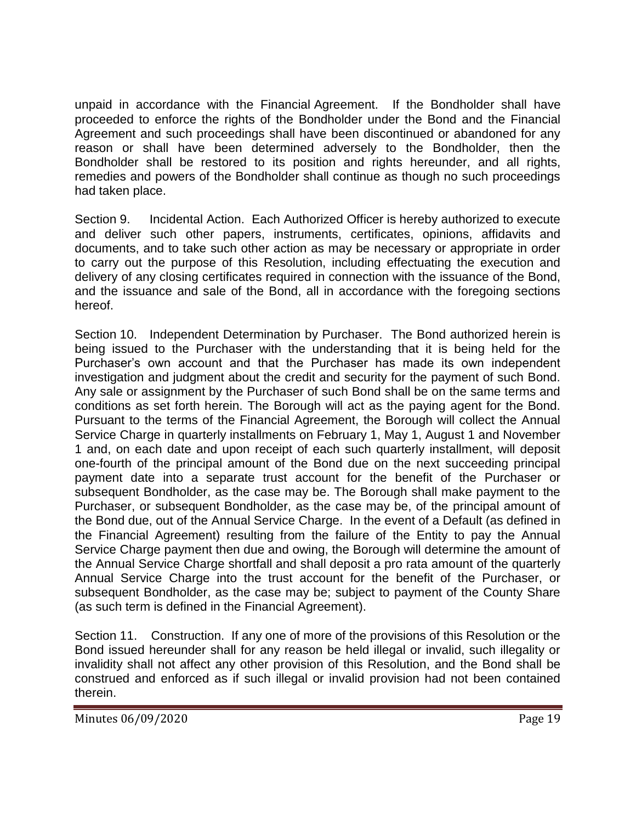unpaid in accordance with the Financial Agreement. If the Bondholder shall have proceeded to enforce the rights of the Bondholder under the Bond and the Financial Agreement and such proceedings shall have been discontinued or abandoned for any reason or shall have been determined adversely to the Bondholder, then the Bondholder shall be restored to its position and rights hereunder, and all rights, remedies and powers of the Bondholder shall continue as though no such proceedings had taken place.

Section 9. Incidental Action. Each Authorized Officer is hereby authorized to execute and deliver such other papers, instruments, certificates, opinions, affidavits and documents, and to take such other action as may be necessary or appropriate in order to carry out the purpose of this Resolution, including effectuating the execution and delivery of any closing certificates required in connection with the issuance of the Bond, and the issuance and sale of the Bond, all in accordance with the foregoing sections hereof.

Section 10. Independent Determination by Purchaser. The Bond authorized herein is being issued to the Purchaser with the understanding that it is being held for the Purchaser's own account and that the Purchaser has made its own independent investigation and judgment about the credit and security for the payment of such Bond. Any sale or assignment by the Purchaser of such Bond shall be on the same terms and conditions as set forth herein. The Borough will act as the paying agent for the Bond. Pursuant to the terms of the Financial Agreement, the Borough will collect the Annual Service Charge in quarterly installments on February 1, May 1, August 1 and November 1 and, on each date and upon receipt of each such quarterly installment, will deposit one-fourth of the principal amount of the Bond due on the next succeeding principal payment date into a separate trust account for the benefit of the Purchaser or subsequent Bondholder, as the case may be. The Borough shall make payment to the Purchaser, or subsequent Bondholder, as the case may be, of the principal amount of the Bond due, out of the Annual Service Charge. In the event of a Default (as defined in the Financial Agreement) resulting from the failure of the Entity to pay the Annual Service Charge payment then due and owing, the Borough will determine the amount of the Annual Service Charge shortfall and shall deposit a pro rata amount of the quarterly Annual Service Charge into the trust account for the benefit of the Purchaser, or subsequent Bondholder, as the case may be; subject to payment of the County Share (as such term is defined in the Financial Agreement).

Section 11. Construction. If any one of more of the provisions of this Resolution or the Bond issued hereunder shall for any reason be held illegal or invalid, such illegality or invalidity shall not affect any other provision of this Resolution, and the Bond shall be construed and enforced as if such illegal or invalid provision had not been contained therein.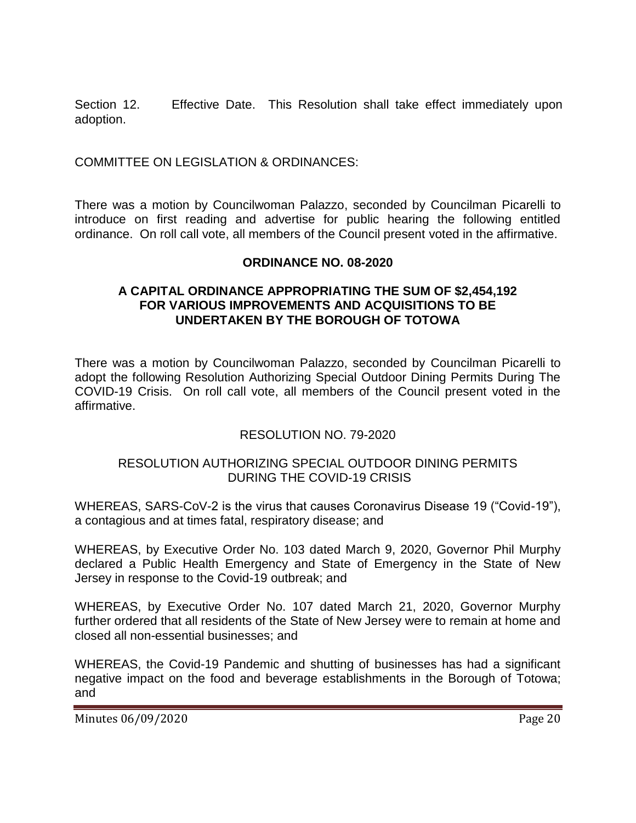Section 12. Effective Date. This Resolution shall take effect immediately upon adoption.

COMMITTEE ON LEGISLATION & ORDINANCES:

There was a motion by Councilwoman Palazzo, seconded by Councilman Picarelli to introduce on first reading and advertise for public hearing the following entitled ordinance. On roll call vote, all members of the Council present voted in the affirmative.

### **ORDINANCE NO. 08-2020**

## **A CAPITAL ORDINANCE APPROPRIATING THE SUM OF \$2,454,192 FOR VARIOUS IMPROVEMENTS AND ACQUISITIONS TO BE UNDERTAKEN BY THE BOROUGH OF TOTOWA**

There was a motion by Councilwoman Palazzo, seconded by Councilman Picarelli to adopt the following Resolution Authorizing Special Outdoor Dining Permits During The COVID-19 Crisis. On roll call vote, all members of the Council present voted in the affirmative.

## RESOLUTION NO. 79-2020

### RESOLUTION AUTHORIZING SPECIAL OUTDOOR DINING PERMITS DURING THE COVID-19 CRISIS

WHEREAS, SARS-CoV-2 is the virus that causes Coronavirus Disease 19 ("Covid-19"), a contagious and at times fatal, respiratory disease; and

WHEREAS, by Executive Order No. 103 dated March 9, 2020, Governor Phil Murphy declared a Public Health Emergency and State of Emergency in the State of New Jersey in response to the Covid-19 outbreak; and

WHEREAS, by Executive Order No. 107 dated March 21, 2020, Governor Murphy further ordered that all residents of the State of New Jersey were to remain at home and closed all non-essential businesses; and

WHEREAS, the Covid-19 Pandemic and shutting of businesses has had a significant negative impact on the food and beverage establishments in the Borough of Totowa; and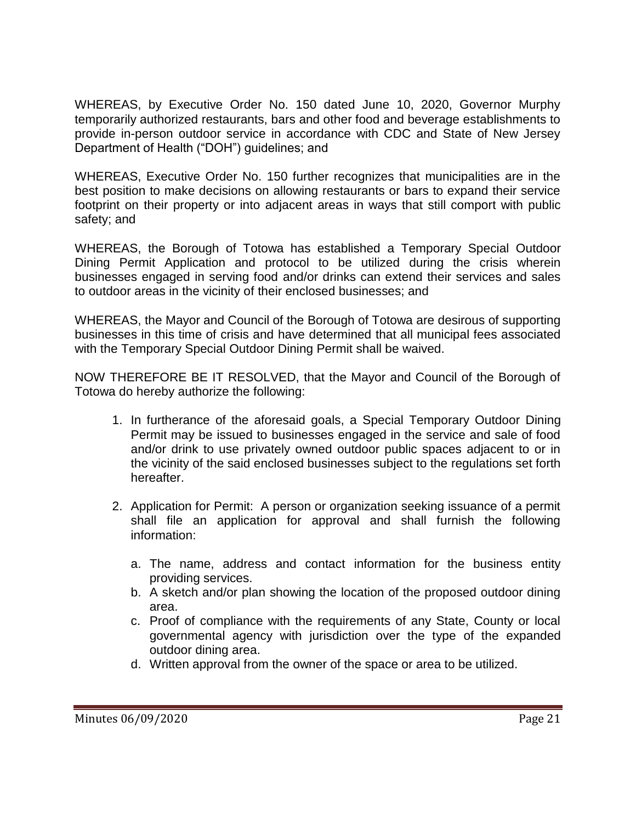WHEREAS, by Executive Order No. 150 dated June 10, 2020, Governor Murphy temporarily authorized restaurants, bars and other food and beverage establishments to provide in-person outdoor service in accordance with CDC and State of New Jersey Department of Health ("DOH") guidelines; and

WHEREAS, Executive Order No. 150 further recognizes that municipalities are in the best position to make decisions on allowing restaurants or bars to expand their service footprint on their property or into adjacent areas in ways that still comport with public safety; and

WHEREAS, the Borough of Totowa has established a Temporary Special Outdoor Dining Permit Application and protocol to be utilized during the crisis wherein businesses engaged in serving food and/or drinks can extend their services and sales to outdoor areas in the vicinity of their enclosed businesses; and

WHEREAS, the Mayor and Council of the Borough of Totowa are desirous of supporting businesses in this time of crisis and have determined that all municipal fees associated with the Temporary Special Outdoor Dining Permit shall be waived.

NOW THEREFORE BE IT RESOLVED, that the Mayor and Council of the Borough of Totowa do hereby authorize the following:

- 1. In furtherance of the aforesaid goals, a Special Temporary Outdoor Dining Permit may be issued to businesses engaged in the service and sale of food and/or drink to use privately owned outdoor public spaces adjacent to or in the vicinity of the said enclosed businesses subject to the regulations set forth hereafter.
- 2. Application for Permit: A person or organization seeking issuance of a permit shall file an application for approval and shall furnish the following information:
	- a. The name, address and contact information for the business entity providing services.
	- b. A sketch and/or plan showing the location of the proposed outdoor dining area.
	- c. Proof of compliance with the requirements of any State, County or local governmental agency with jurisdiction over the type of the expanded outdoor dining area.
	- d. Written approval from the owner of the space or area to be utilized.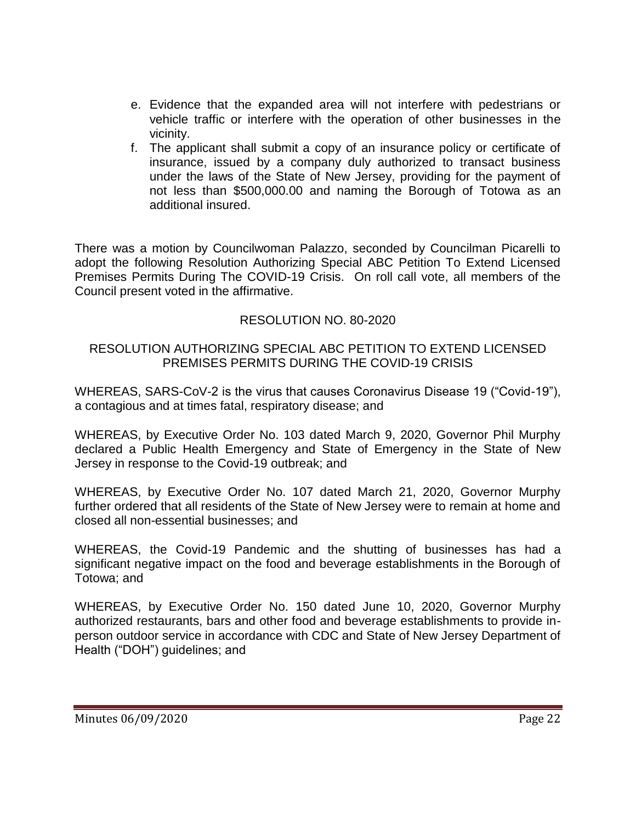- e. Evidence that the expanded area will not interfere with pedestrians or vehicle traffic or interfere with the operation of other businesses in the vicinity.
- f. The applicant shall submit a copy of an insurance policy or certificate of insurance, issued by a company duly authorized to transact business under the laws of the State of New Jersey, providing for the payment of not less than \$500,000.00 and naming the Borough of Totowa as an additional insured.

There was a motion by Councilwoman Palazzo, seconded by Councilman Picarelli to adopt the following Resolution Authorizing Special ABC Petition To Extend Licensed Premises Permits During The COVID-19 Crisis. On roll call vote, all members of the Council present voted in the affirmative.

# RESOLUTION NO. 80-2020

## RESOLUTION AUTHORIZING SPECIAL ABC PETITION TO EXTEND LICENSED PREMISES PERMITS DURING THE COVID-19 CRISIS

WHEREAS, SARS-CoV-2 is the virus that causes Coronavirus Disease 19 ("Covid-19"), a contagious and at times fatal, respiratory disease; and

WHEREAS, by Executive Order No. 103 dated March 9, 2020, Governor Phil Murphy declared a Public Health Emergency and State of Emergency in the State of New Jersey in response to the Covid-19 outbreak; and

WHEREAS, by Executive Order No. 107 dated March 21, 2020, Governor Murphy further ordered that all residents of the State of New Jersey were to remain at home and closed all non-essential businesses; and

WHEREAS, the Covid-19 Pandemic and the shutting of businesses has had a significant negative impact on the food and beverage establishments in the Borough of Totowa; and

WHEREAS, by Executive Order No. 150 dated June 10, 2020, Governor Murphy authorized restaurants, bars and other food and beverage establishments to provide inperson outdoor service in accordance with CDC and State of New Jersey Department of Health ("DOH") guidelines; and